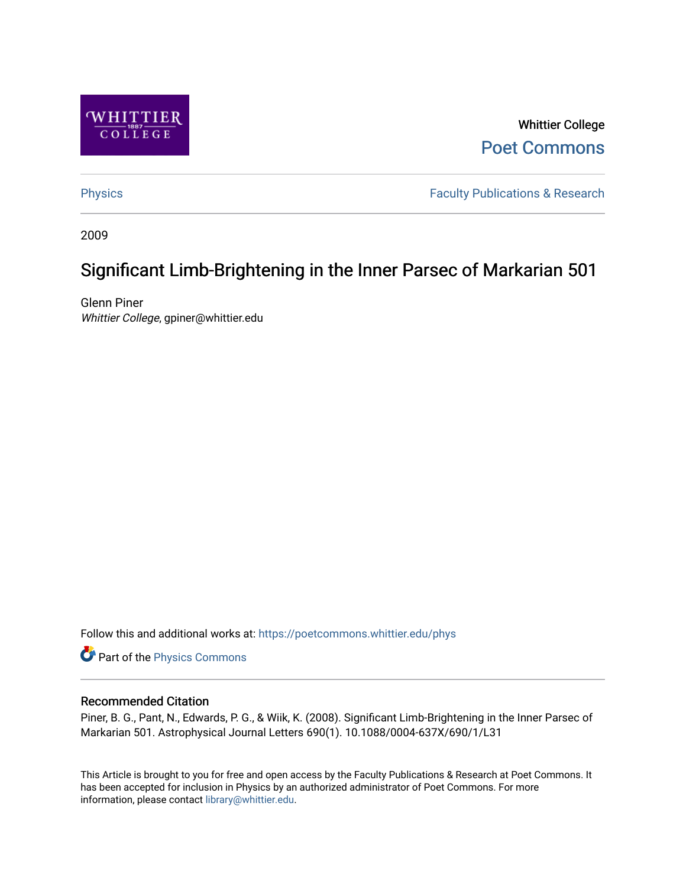

Whittier College [Poet Commons](https://poetcommons.whittier.edu/) 

[Physics](https://poetcommons.whittier.edu/phys) **Faculty Publications & Research Physics Faculty Publications & Research** 

2009

# Significant Limb-Brightening in the Inner Parsec of Markarian 501

Glenn Piner Whittier College, gpiner@whittier.edu

Follow this and additional works at: [https://poetcommons.whittier.edu/phys](https://poetcommons.whittier.edu/phys?utm_source=poetcommons.whittier.edu%2Fphys%2F2&utm_medium=PDF&utm_campaign=PDFCoverPages)

Part of the [Physics Commons](http://network.bepress.com/hgg/discipline/193?utm_source=poetcommons.whittier.edu%2Fphys%2F2&utm_medium=PDF&utm_campaign=PDFCoverPages)

## Recommended Citation

Piner, B. G., Pant, N., Edwards, P. G., & Wiik, K. (2008). Significant Limb-Brightening in the Inner Parsec of Markarian 501. Astrophysical Journal Letters 690(1). 10.1088/0004-637X/690/1/L31

This Article is brought to you for free and open access by the Faculty Publications & Research at Poet Commons. It has been accepted for inclusion in Physics by an authorized administrator of Poet Commons. For more information, please contact [library@whittier.edu.](mailto:library@whittier.edu)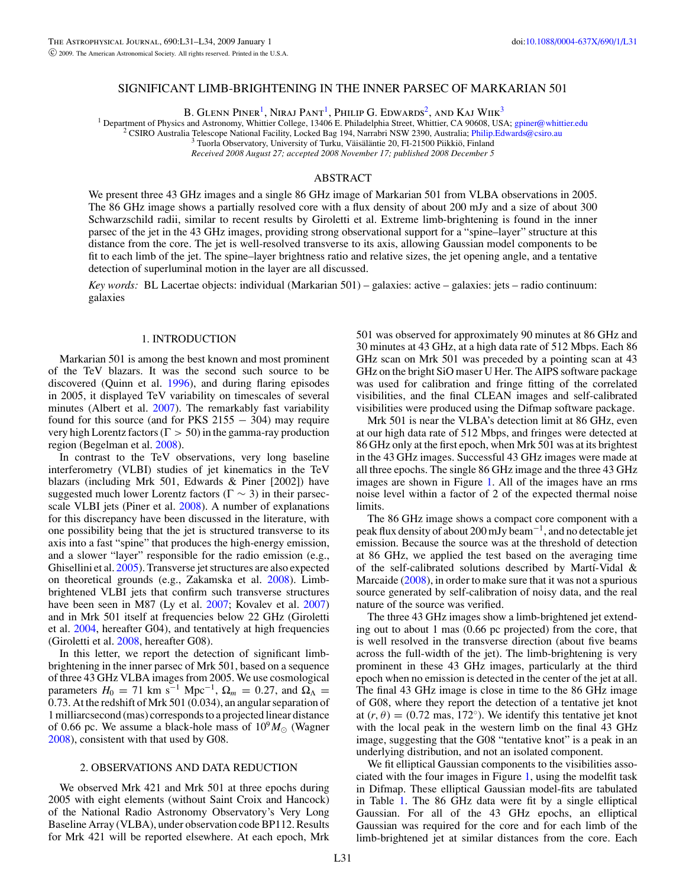#### SIGNIFICANT LIMB-BRIGHTENING IN THE INNER PARSEC OF MARKARIAN 501

B. GLENN PINER<sup>1</sup>, NIRAJ PANT<sup>1</sup>, PHILIP G. EDWARDS<sup>2</sup>, AND KAJ WIIK<sup>3</sup>

<sup>1</sup> Department of Physics and Astronomy, Whittier College, 13406 E. Philadelphia Street, Whittier, CA 90608, USA; [gpiner@whittier.edu](mailto:gpiner@whittier.edu) <sup>2</sup> CSIRO Australia Telescope National Facility, Locked Bag 194, Narrabri NSW 2390, Aus

*Received 2008 August 27; accepted 2008 November 17; published 2008 December 5*

#### ABSTRACT

We present three 43 GHz images and a single 86 GHz image of Markarian 501 from VLBA observations in 2005. The 86 GHz image shows a partially resolved core with a flux density of about 200 mJy and a size of about 300 Schwarzschild radii, similar to recent results by Giroletti et al. Extreme limb-brightening is found in the inner parsec of the jet in the 43 GHz images, providing strong observational support for a "spine–layer" structure at this distance from the core. The jet is well-resolved transverse to its axis, allowing Gaussian model components to be fit to each limb of the jet. The spine–layer brightness ratio and relative sizes, the jet opening angle, and a tentative detection of superluminal motion in the layer are all discussed.

*Key words:* BL Lacertae objects: individual (Markarian 501) – galaxies: active – galaxies: jets – radio continuum: galaxies

#### 1. INTRODUCTION

Markarian 501 is among the best known and most prominent of the TeV blazars. It was the second such source to be discovered (Quinn et al. [1996\)](#page-4-0), and during flaring episodes in 2005, it displayed TeV variability on timescales of several minutes (Albert et al. [2007\)](#page-4-0). The remarkably fast variability found for this source (and for PKS  $2155 - 304$ ) may require very high Lorentz factors (Γ *>* 50) in the gamma-ray production region (Begelman et al. [2008\)](#page-4-0).

In contrast to the TeV observations, very long baseline interferometry (VLBI) studies of jet kinematics in the TeV blazars (including Mrk 501, Edwards & Piner [2002]) have suggested much lower Lorentz factors ( $\Gamma \sim 3$ ) in their parsecscale VLBI jets (Piner et al. [2008\)](#page-4-0). A number of explanations for this discrepancy have been discussed in the literature, with one possibility being that the jet is structured transverse to its axis into a fast "spine" that produces the high-energy emission, and a slower "layer" responsible for the radio emission (e.g., Ghisellini et al. [2005\)](#page-4-0). Transverse jet structures are also expected on theoretical grounds (e.g., Zakamska et al. [2008\)](#page-4-0). Limbbrightened VLBI jets that confirm such transverse structures have been seen in M87 (Ly et al. [2007;](#page-4-0) Kovalev et al. [2007\)](#page-4-0) and in Mrk 501 itself at frequencies below 22 GHz (Giroletti et al. [2004,](#page-4-0) hereafter G04), and tentatively at high frequencies (Giroletti et al. [2008,](#page-4-0) hereafter G08).

In this letter, we report the detection of significant limbbrightening in the inner parsec of Mrk 501, based on a sequence of three 43 GHz VLBA images from 2005. We use cosmological parameters  $H_0 = 71$  km s<sup>-1</sup> Mpc<sup>-1</sup>,  $\Omega_m = 0.27$ , and  $\Omega_{\Lambda} =$ 0*.*73. At the redshift of Mrk 501 (0.034), an angular separation of 1 milliarcsecond (mas) corresponds to a projected linear distance of 0.66 pc. We assume a black-hole mass of  $10^{9} M_{\odot}$  (Wagner [2008\)](#page-4-0), consistent with that used by G08.

#### 2. OBSERVATIONS AND DATA REDUCTION

We observed Mrk 421 and Mrk 501 at three epochs during 2005 with eight elements (without Saint Croix and Hancock) of the National Radio Astronomy Observatory's Very Long Baseline Array (VLBA), under observation code BP112. Results for Mrk 421 will be reported elsewhere. At each epoch, Mrk

501 was observed for approximately 90 minutes at 86 GHz and 30 minutes at 43 GHz, at a high data rate of 512 Mbps. Each 86 GHz scan on Mrk 501 was preceded by a pointing scan at 43 GHz on the bright SiO maser U Her. The AIPS software package was used for calibration and fringe fitting of the correlated visibilities, and the final CLEAN images and self-calibrated visibilities were produced using the Difmap software package.

Mrk 501 is near the VLBA's detection limit at 86 GHz, even at our high data rate of 512 Mbps, and fringes were detected at 86 GHz only at the first epoch, when Mrk 501 was at its brightest in the 43 GHz images. Successful 43 GHz images were made at all three epochs. The single 86 GHz image and the three 43 GHz images are shown in Figure [1.](#page-2-0) All of the images have an rms noise level within a factor of 2 of the expected thermal noise limits.

The 86 GHz image shows a compact core component with a peak flux density of about 200 mJy beam−1, and no detectable jet emission. Because the source was at the threshold of detection at 86 GHz, we applied the test based on the averaging time of the self-calibrated solutions described by Martí-Vidal  $\&$ Marcaide [\(2008\)](#page-4-0), in order to make sure that it was not a spurious source generated by self-calibration of noisy data, and the real nature of the source was verified.

The three 43 GHz images show a limb-brightened jet extending out to about 1 mas (0.66 pc projected) from the core, that is well resolved in the transverse direction (about five beams across the full-width of the jet). The limb-brightening is very prominent in these 43 GHz images, particularly at the third epoch when no emission is detected in the center of the jet at all. The final 43 GHz image is close in time to the 86 GHz image of G08, where they report the detection of a tentative jet knot at  $(r, \theta) = (0.72 \text{ mas}, 172°)$ . We identify this tentative jet knot with the local peak in the western limb on the final 43 GHz image, suggesting that the G08 "tentative knot" is a peak in an underlying distribution, and not an isolated component.

We fit elliptical Gaussian components to the visibilities associated with the four images in Figure [1,](#page-2-0) using the modelfit task in Difmap. These elliptical Gaussian model-fits are tabulated in Table [1.](#page-3-0) The 86 GHz data were fit by a single elliptical Gaussian. For all of the 43 GHz epochs, an elliptical Gaussian was required for the core and for each limb of the limb-brightened jet at similar distances from the core. Each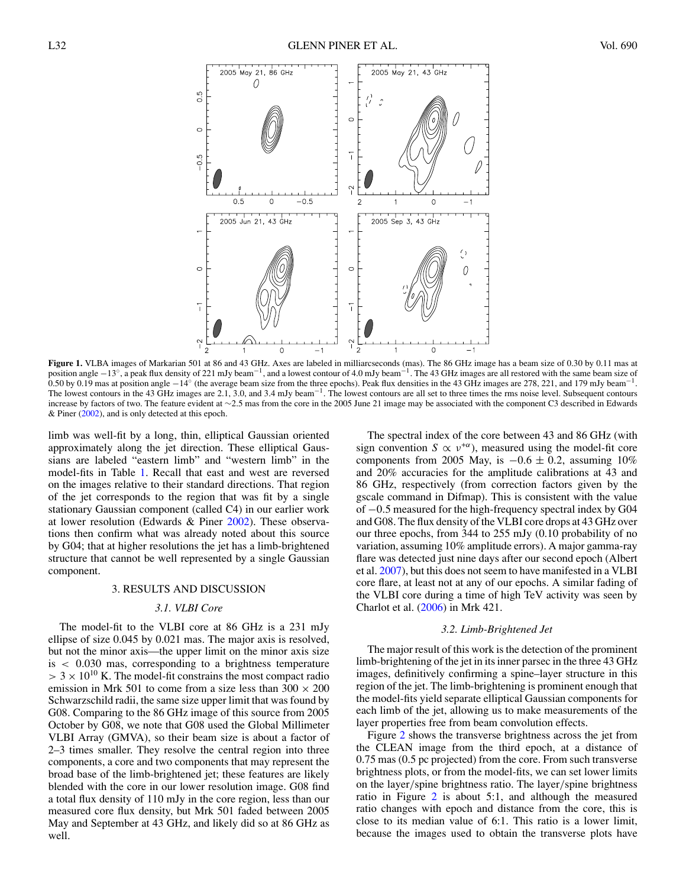<span id="page-2-0"></span>

**Figure 1.** VLBA images of Markarian 501 at 86 and 43 GHz. Axes are labeled in milliarcseconds (mas). The 86 GHz image has a beam size of 0.30 by 0.11 mas at position angle −13°, a peak flux density of 221 mJy beam<sup>−1</sup>, and a lowest contour of 4.0 mJy beam<sup>−1</sup>. The 43 GHz images are all restored with the same beam size of 0.50 by 0.19 mas at position angle −14° (the average beam size from the three epochs). Peak flux densities in the 43 GHz images are 278, 221, and 179 mJy beam<sup>-1</sup>. The lowest contours in the 43 GHz images are 2.1, 3.0, and 3.4 mJy beam<sup>-1</sup>. The lowest contours are all set to three times the rms noise level. Subsequent contours increase by factors of two. The feature evident at ∼2.5 mas from the core in the 2005 June 21 image may be associated with the component C3 described in Edwards & Piner [\(2002\)](#page-4-0), and is only detected at this epoch.

limb was well-fit by a long, thin, elliptical Gaussian oriented approximately along the jet direction. These elliptical Gaussians are labeled "eastern limb" and "western limb" in the model-fits in Table [1.](#page-3-0) Recall that east and west are reversed on the images relative to their standard directions. That region of the jet corresponds to the region that was fit by a single stationary Gaussian component (called C4) in our earlier work at lower resolution (Edwards & Piner [2002\)](#page-4-0). These observations then confirm what was already noted about this source by G04; that at higher resolutions the jet has a limb-brightened structure that cannot be well represented by a single Gaussian component.

#### 3. RESULTS AND DISCUSSION

#### *3.1. VLBI Core*

The model-fit to the VLBI core at 86 GHz is a 231 mJy ellipse of size 0.045 by 0.021 mas. The major axis is resolved, but not the minor axis—the upper limit on the minor axis size is *<* 0*.*030 mas, corresponding to a brightness temperature  $>$  3  $\times$  10<sup>10</sup> K. The model-fit constrains the most compact radio emission in Mrk 501 to come from a size less than  $300 \times 200$ Schwarzschild radii, the same size upper limit that was found by G08. Comparing to the 86 GHz image of this source from 2005 October by G08, we note that G08 used the Global Millimeter VLBI Array (GMVA), so their beam size is about a factor of 2–3 times smaller. They resolve the central region into three components, a core and two components that may represent the broad base of the limb-brightened jet; these features are likely blended with the core in our lower resolution image. G08 find a total flux density of 110 mJy in the core region, less than our measured core flux density, but Mrk 501 faded between 2005 May and September at 43 GHz, and likely did so at 86 GHz as well.

The spectral index of the core between 43 and 86 GHz (with sign convention  $S \propto v^{+\alpha}$ , measured using the model-fit core components from 2005 May, is  $-0.6 \pm 0.2$ , assuming 10% and 20% accuracies for the amplitude calibrations at 43 and 86 GHz, respectively (from correction factors given by the gscale command in Difmap). This is consistent with the value of −0*.*5 measured for the high-frequency spectral index by G04 and G08. The flux density of the VLBI core drops at 43 GHz over our three epochs, from 344 to 255 mJy (0.10 probability of no variation, assuming 10% amplitude errors). A major gamma-ray flare was detected just nine days after our second epoch (Albert et al. [2007\)](#page-4-0), but this does not seem to have manifested in a VLBI core flare, at least not at any of our epochs. A similar fading of the VLBI core during a time of high TeV activity was seen by Charlot et al. [\(2006\)](#page-4-0) in Mrk 421.

#### *3.2. Limb-Brightened Jet*

The major result of this work is the detection of the prominent limb-brightening of the jet in its inner parsec in the three 43 GHz images, definitively confirming a spine–layer structure in this region of the jet. The limb-brightening is prominent enough that the model-fits yield separate elliptical Gaussian components for each limb of the jet, allowing us to make measurements of the layer properties free from beam convolution effects.

Figure [2](#page-3-0) shows the transverse brightness across the jet from the CLEAN image from the third epoch, at a distance of 0.75 mas (0.5 pc projected) from the core. From such transverse brightness plots, or from the model-fits, we can set lower limits on the layer*/*spine brightness ratio. The layer*/*spine brightness ratio in Figure [2](#page-3-0) is about 5:1, and although the measured ratio changes with epoch and distance from the core, this is close to its median value of 6:1. This ratio is a lower limit, because the images used to obtain the transverse plots have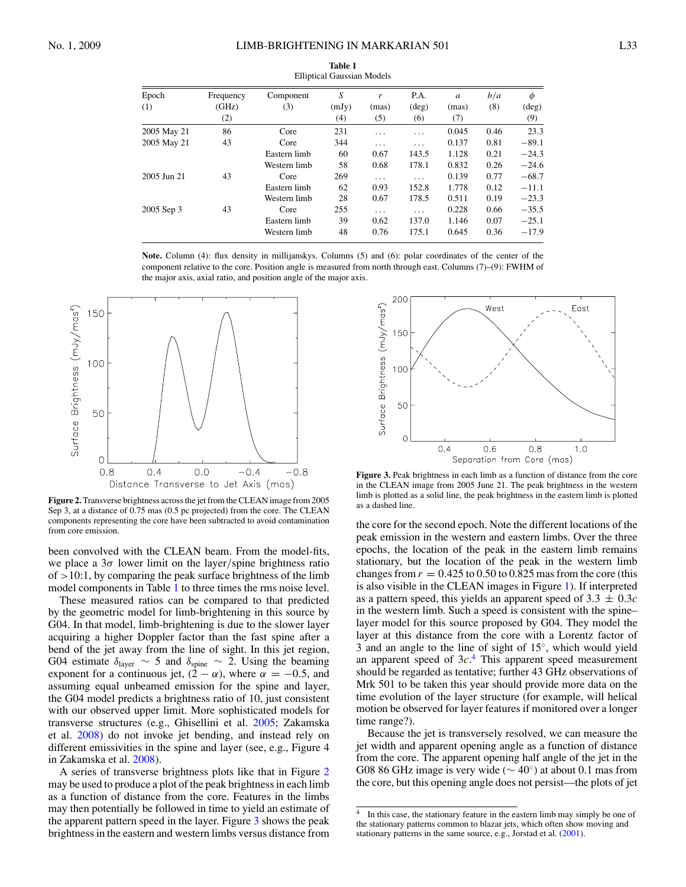<span id="page-3-0"></span>

| Emplical Gaussian Models |                           |                  |                   |                   |                               |                                  |            |                            |
|--------------------------|---------------------------|------------------|-------------------|-------------------|-------------------------------|----------------------------------|------------|----------------------------|
| Epoch<br>(1)             | Frequency<br>(GHz)<br>(2) | Component<br>(3) | S<br>(mJy)<br>(4) | r<br>(mas)<br>(5) | P.A.<br>$(\text{deg})$<br>(6) | $\boldsymbol{a}$<br>(mas)<br>(7) | b/a<br>(8) | φ<br>$(\text{deg})$<br>(9) |
| 2005 May 21              | 86                        | Core             | 231               | $\cdots$          | .                             | 0.045                            | 0.46       | 23.3                       |
| 2005 May 21              | 43                        | Core             | 344               | .                 | $\cdots$                      | 0.137                            | 0.81       | $-89.1$                    |
|                          |                           | Eastern limb     | 60                | 0.67              | 143.5                         | 1.128                            | 0.21       | $-24.3$                    |
|                          |                           | Western limb     | 58                | 0.68              | 178.1                         | 0.832                            | 0.26       | $-24.6$                    |
| 2005 Jun 21              | 43                        | Core             | 269               | $\cdots$          | $\cdots$                      | 0.139                            | 0.77       | $-68.7$                    |
|                          |                           | Eastern limb     | 62                | 0.93              | 152.8                         | 1.778                            | 0.12       | $-11.1$                    |
|                          |                           | Western limb     | 28                | 0.67              | 178.5                         | 0.511                            | 0.19       | $-23.3$                    |
| 2005 Sep 3               | 43                        | Core             | 255               | $\cdots$          | $\cdots$                      | 0.228                            | 0.66       | $-35.5$                    |
|                          |                           | Eastern limb     | 39                | 0.62              | 137.0                         | 1.146                            | 0.07       | $-25.1$                    |
|                          |                           | Western limb     | 48                | 0.76              | 175.1                         | 0.645                            | 0.36       | $-17.9$                    |

**Table 1** Elliptical Gaussian Models

**Note.** Column (4): flux density in millijanskys. Columns (5) and (6): polar coordinates of the center of the component relative to the core. Position angle is measured from north through east. Columns (7)–(9): FWHM of the major axis, axial ratio, and position angle of the major axis.



**Figure 2.** Transverse brightness across the jet from the CLEAN image from 2005 Sep 3, at a distance of 0.75 mas (0.5 pc projected) from the core. The CLEAN components representing the core have been subtracted to avoid contamination from core emission.

been convolved with the CLEAN beam. From the model-fits, we place a 3*σ* lower limit on the layer*/*spine brightness ratio of *>*10:1, by comparing the peak surface brightness of the limb model components in Table 1 to three times the rms noise level.

These measured ratios can be compared to that predicted by the geometric model for limb-brightening in this source by G04. In that model, limb-brightening is due to the slower layer acquiring a higher Doppler factor than the fast spine after a bend of the jet away from the line of sight. In this jet region, G04 estimate  $\delta_{\text{layer}} \sim 5$  and  $\delta_{\text{spine}} \sim 2$ . Using the beaming exponent for a continuous jet,  $(2 - \alpha)$ , where  $\alpha = -0.5$ , and assuming equal unbeamed emission for the spine and layer, the G04 model predicts a brightness ratio of 10, just consistent with our observed upper limit. More sophisticated models for transverse structures (e.g., Ghisellini et al. [2005;](#page-4-0) Zakamska et al. [2008\)](#page-4-0) do not invoke jet bending, and instead rely on different emissivities in the spine and layer (see, e.g., Figure 4 in Zakamska et al. [2008\)](#page-4-0).

A series of transverse brightness plots like that in Figure 2 may be used to produce a plot of the peak brightness in each limb as a function of distance from the core. Features in the limbs may then potentially be followed in time to yield an estimate of the apparent pattern speed in the layer. Figure 3 shows the peak brightness in the eastern and western limbs versus distance from



**Figure 3.** Peak brightness in each limb as a function of distance from the core in the CLEAN image from 2005 June 21. The peak brightness in the western limb is plotted as a solid line, the peak brightness in the eastern limb is plotted as a dashed line.

the core for the second epoch. Note the different locations of the peak emission in the western and eastern limbs. Over the three epochs, the location of the peak in the eastern limb remains stationary, but the location of the peak in the western limb changes from  $r = 0.425$  to 0.50 to 0.825 mas from the core (this is also visible in the CLEAN images in Figure [1\)](#page-2-0). If interpreted as a pattern speed, this yields an apparent speed of  $3.3 \pm 0.3c$ in the western limb. Such a speed is consistent with the spine– layer model for this source proposed by G04. They model the layer at this distance from the core with a Lorentz factor of 3 and an angle to the line of sight of 15◦, which would yield an apparent speed of 3*c*. <sup>4</sup> This apparent speed measurement should be regarded as tentative; further 43 GHz observations of Mrk 501 to be taken this year should provide more data on the time evolution of the layer structure (for example, will helical motion be observed for layer features if monitored over a longer time range?).

Because the jet is transversely resolved, we can measure the jet width and apparent opening angle as a function of distance from the core. The apparent opening half angle of the jet in the G08 86 GHz image is very wide ( $\sim$  40°) at about 0.1 mas from the core, but this opening angle does not persist—the plots of jet

<sup>&</sup>lt;sup>4</sup> In this case, the stationary feature in the eastern limb may simply be one of the stationary patterns common to blazar jets, which often show moving and stationary patterns in the same source, e.g., Jorstad et al. [\(2001\)](#page-4-0).